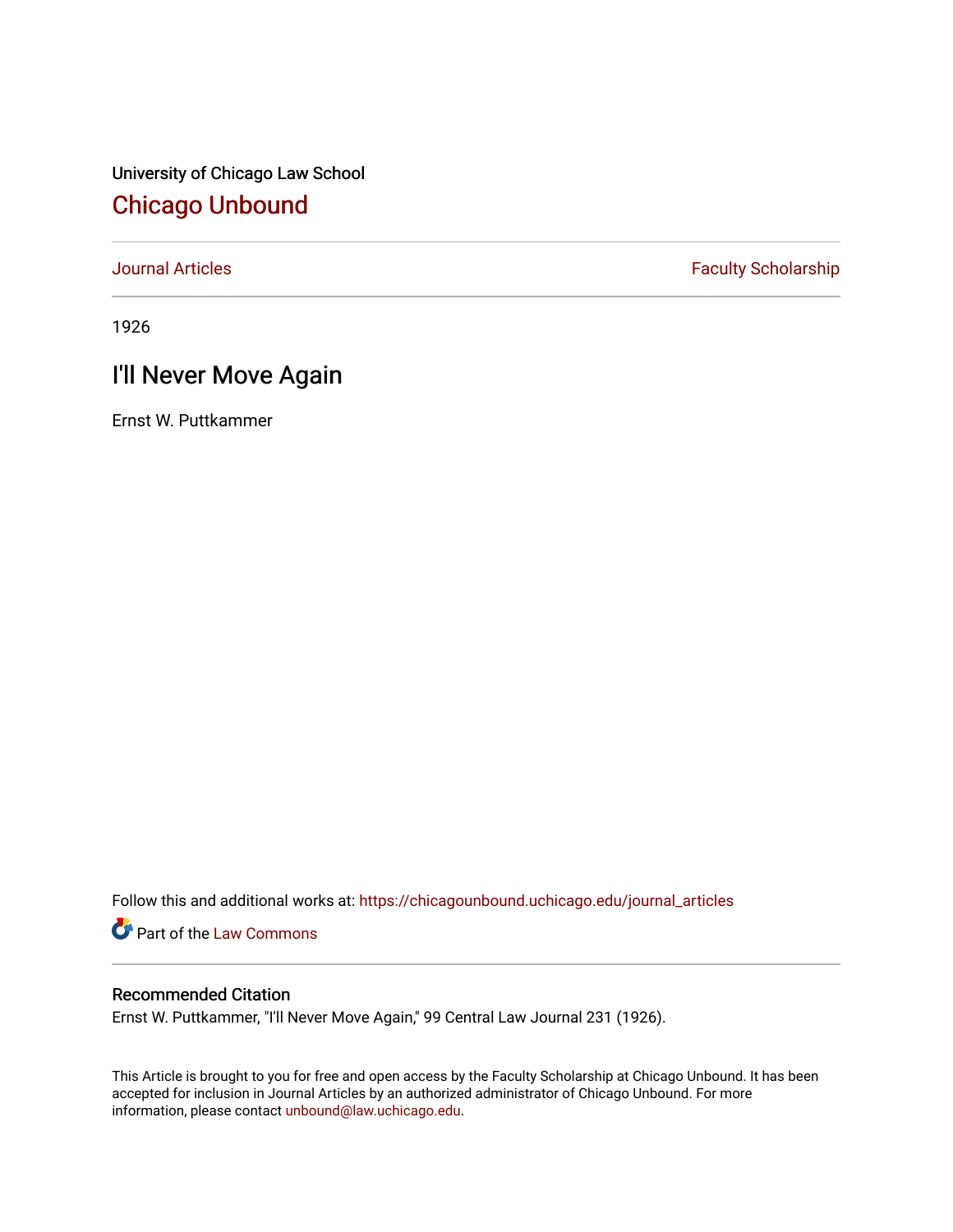University of Chicago Law School [Chicago Unbound](https://chicagounbound.uchicago.edu/)

[Journal Articles](https://chicagounbound.uchicago.edu/journal_articles) **Faculty Scholarship Faculty Scholarship** 

1926

# I'll Never Move Again

Ernst W. Puttkammer

Follow this and additional works at: [https://chicagounbound.uchicago.edu/journal\\_articles](https://chicagounbound.uchicago.edu/journal_articles?utm_source=chicagounbound.uchicago.edu%2Fjournal_articles%2F9159&utm_medium=PDF&utm_campaign=PDFCoverPages) 

Part of the [Law Commons](http://network.bepress.com/hgg/discipline/578?utm_source=chicagounbound.uchicago.edu%2Fjournal_articles%2F9159&utm_medium=PDF&utm_campaign=PDFCoverPages)

## Recommended Citation

Ernst W. Puttkammer, "I'll Never Move Again," 99 Central Law Journal 231 (1926).

This Article is brought to you for free and open access by the Faculty Scholarship at Chicago Unbound. It has been accepted for inclusion in Journal Articles by an authorized administrator of Chicago Unbound. For more information, please contact [unbound@law.uchicago.edu](mailto:unbound@law.uchicago.edu).